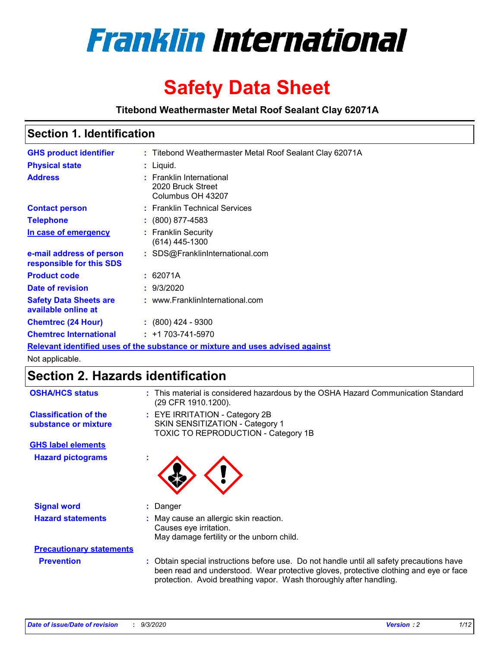

# **Safety Data Sheet**

**Titebond Weathermaster Metal Roof Sealant Clay 62071A**

### **Section 1. Identification**

| <b>GHS product identifier</b>                                                 |  | : Titebond Weathermaster Metal Roof Sealant Clay 62071A            |  |  |
|-------------------------------------------------------------------------------|--|--------------------------------------------------------------------|--|--|
| <b>Physical state</b>                                                         |  | : Liquid.                                                          |  |  |
| <b>Address</b>                                                                |  | : Franklin International<br>2020 Bruck Street<br>Columbus OH 43207 |  |  |
| <b>Contact person</b>                                                         |  | : Franklin Technical Services                                      |  |  |
| <b>Telephone</b>                                                              |  | $\colon$ (800) 877-4583                                            |  |  |
| In case of emergency                                                          |  | : Franklin Security<br>(614) 445-1300                              |  |  |
| e-mail address of person<br>responsible for this SDS                          |  | : SDS@FranklinInternational.com                                    |  |  |
| <b>Product code</b>                                                           |  | : 62071A                                                           |  |  |
| Date of revision                                                              |  | : 9/3/2020                                                         |  |  |
| <b>Safety Data Sheets are</b><br>available online at                          |  | : www.FranklinInternational.com                                    |  |  |
| <b>Chemtrec (24 Hour)</b>                                                     |  | $: (800)$ 424 - 9300                                               |  |  |
| <b>Chemtrec International</b>                                                 |  | $: +1703 - 741 - 5970$                                             |  |  |
| Relevant identified uses of the substance or mixture and uses advised against |  |                                                                    |  |  |

Not applicable.

## **Section 2. Hazards identification**

| <b>OSHA/HCS status</b>                               |    | : This material is considered hazardous by the OSHA Hazard Communication Standard<br>(29 CFR 1910.1200).                                                                                                                                                 |
|------------------------------------------------------|----|----------------------------------------------------------------------------------------------------------------------------------------------------------------------------------------------------------------------------------------------------------|
| <b>Classification of the</b><br>substance or mixture |    | : EYE IRRITATION - Category 2B<br>SKIN SENSITIZATION - Category 1<br>TOXIC TO REPRODUCTION - Category 1B                                                                                                                                                 |
| <b>GHS label elements</b>                            |    |                                                                                                                                                                                                                                                          |
| <b>Hazard pictograms</b>                             | ×. |                                                                                                                                                                                                                                                          |
| <b>Signal word</b>                                   | t. | Danger                                                                                                                                                                                                                                                   |
| <b>Hazard statements</b>                             |    | May cause an allergic skin reaction.<br>Causes eye irritation.<br>May damage fertility or the unborn child.                                                                                                                                              |
| <b>Precautionary statements</b>                      |    |                                                                                                                                                                                                                                                          |
| <b>Prevention</b>                                    |    | : Obtain special instructions before use. Do not handle until all safety precautions have<br>been read and understood. Wear protective gloves, protective clothing and eye or face<br>protection. Avoid breathing vapor. Wash thoroughly after handling. |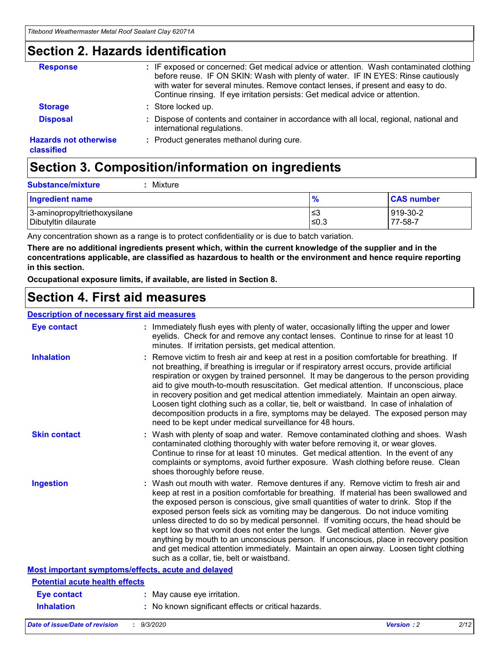### **Section 2. Hazards identification**

| <b>Response</b>                            | : IF exposed or concerned: Get medical advice or attention. Wash contaminated clothing<br>before reuse. IF ON SKIN: Wash with plenty of water. IF IN EYES: Rinse cautiously<br>with water for several minutes. Remove contact lenses, if present and easy to do.<br>Continue rinsing. If eye irritation persists: Get medical advice or attention. |
|--------------------------------------------|----------------------------------------------------------------------------------------------------------------------------------------------------------------------------------------------------------------------------------------------------------------------------------------------------------------------------------------------------|
| <b>Storage</b>                             | : Store locked up.                                                                                                                                                                                                                                                                                                                                 |
| <b>Disposal</b>                            | : Dispose of contents and container in accordance with all local, regional, national and<br>international regulations.                                                                                                                                                                                                                             |
| <b>Hazards not otherwise</b><br>classified | : Product generates methanol during cure.                                                                                                                                                                                                                                                                                                          |

# **Section 3. Composition/information on ingredients**

| <b>Substance/mixture</b> | Mixture |
|--------------------------|---------|
|                          |         |

| <b>Ingredient name</b>       | $\frac{9}{6}$ | <b>CAS number</b> |
|------------------------------|---------------|-------------------|
| 3-aminopropyltriethoxysilane | ≤3            | 919-30-2          |
| Dibutyltin dilaurate         | ∣≤0.3         | 77-58-7           |

Any concentration shown as a range is to protect confidentiality or is due to batch variation.

**There are no additional ingredients present which, within the current knowledge of the supplier and in the concentrations applicable, are classified as hazardous to health or the environment and hence require reporting in this section.**

**Occupational exposure limits, if available, are listed in Section 8.**

### **Section 4. First aid measures**

| <b>Description of necessary first aid measures</b> |                                                                                                                                                                                                                                                                                                                                                                                                                                                                                                                                                                                                                                                                                                                                                                           |
|----------------------------------------------------|---------------------------------------------------------------------------------------------------------------------------------------------------------------------------------------------------------------------------------------------------------------------------------------------------------------------------------------------------------------------------------------------------------------------------------------------------------------------------------------------------------------------------------------------------------------------------------------------------------------------------------------------------------------------------------------------------------------------------------------------------------------------------|
| <b>Eye contact</b>                                 | : Immediately flush eyes with plenty of water, occasionally lifting the upper and lower<br>eyelids. Check for and remove any contact lenses. Continue to rinse for at least 10<br>minutes. If irritation persists, get medical attention.                                                                                                                                                                                                                                                                                                                                                                                                                                                                                                                                 |
| <b>Inhalation</b>                                  | : Remove victim to fresh air and keep at rest in a position comfortable for breathing. If<br>not breathing, if breathing is irregular or if respiratory arrest occurs, provide artificial<br>respiration or oxygen by trained personnel. It may be dangerous to the person providing<br>aid to give mouth-to-mouth resuscitation. Get medical attention. If unconscious, place<br>in recovery position and get medical attention immediately. Maintain an open airway.<br>Loosen tight clothing such as a collar, tie, belt or waistband. In case of inhalation of<br>decomposition products in a fire, symptoms may be delayed. The exposed person may<br>need to be kept under medical surveillance for 48 hours.                                                       |
| <b>Skin contact</b>                                | : Wash with plenty of soap and water. Remove contaminated clothing and shoes. Wash<br>contaminated clothing thoroughly with water before removing it, or wear gloves.<br>Continue to rinse for at least 10 minutes. Get medical attention. In the event of any<br>complaints or symptoms, avoid further exposure. Wash clothing before reuse. Clean<br>shoes thoroughly before reuse.                                                                                                                                                                                                                                                                                                                                                                                     |
| <b>Ingestion</b>                                   | : Wash out mouth with water. Remove dentures if any. Remove victim to fresh air and<br>keep at rest in a position comfortable for breathing. If material has been swallowed and<br>the exposed person is conscious, give small quantities of water to drink. Stop if the<br>exposed person feels sick as vomiting may be dangerous. Do not induce vomiting<br>unless directed to do so by medical personnel. If vomiting occurs, the head should be<br>kept low so that vomit does not enter the lungs. Get medical attention. Never give<br>anything by mouth to an unconscious person. If unconscious, place in recovery position<br>and get medical attention immediately. Maintain an open airway. Loosen tight clothing<br>such as a collar, tie, belt or waistband. |
| Most important symptoms/effects, acute and delayed |                                                                                                                                                                                                                                                                                                                                                                                                                                                                                                                                                                                                                                                                                                                                                                           |
| <b>Potential acute health effects</b>              |                                                                                                                                                                                                                                                                                                                                                                                                                                                                                                                                                                                                                                                                                                                                                                           |
| Eye contact                                        | : May cause eye irritation.                                                                                                                                                                                                                                                                                                                                                                                                                                                                                                                                                                                                                                                                                                                                               |
| <b>Inhalation</b>                                  | : No known significant effects or critical hazards.                                                                                                                                                                                                                                                                                                                                                                                                                                                                                                                                                                                                                                                                                                                       |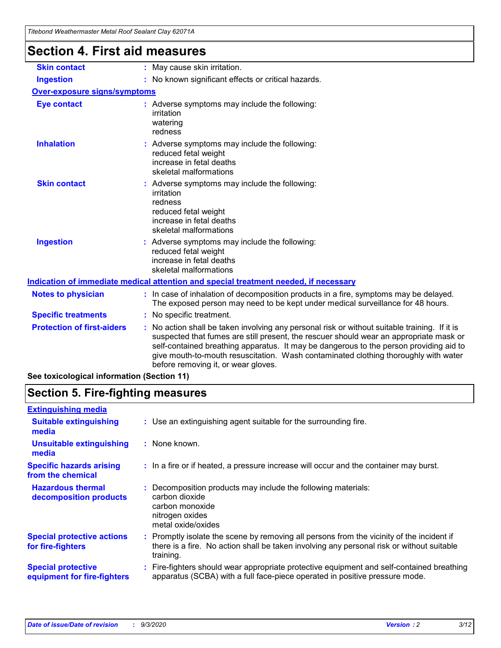| Hiebond Weathermaster Metal Roof Sealant Clay 6207 TA |                                                                                                                                                                                                                                                                                                                                                                                                                 |
|-------------------------------------------------------|-----------------------------------------------------------------------------------------------------------------------------------------------------------------------------------------------------------------------------------------------------------------------------------------------------------------------------------------------------------------------------------------------------------------|
| <b>Section 4. First aid measures</b>                  |                                                                                                                                                                                                                                                                                                                                                                                                                 |
| <b>Skin contact</b>                                   | : May cause skin irritation.                                                                                                                                                                                                                                                                                                                                                                                    |
| <b>Ingestion</b>                                      | : No known significant effects or critical hazards.                                                                                                                                                                                                                                                                                                                                                             |
| <b>Over-exposure signs/symptoms</b>                   |                                                                                                                                                                                                                                                                                                                                                                                                                 |
| <b>Eye contact</b>                                    | : Adverse symptoms may include the following:<br>irritation<br>watering<br>redness                                                                                                                                                                                                                                                                                                                              |
| <b>Inhalation</b>                                     | : Adverse symptoms may include the following:<br>reduced fetal weight<br>increase in fetal deaths<br>skeletal malformations                                                                                                                                                                                                                                                                                     |
| <b>Skin contact</b>                                   | Adverse symptoms may include the following:<br>irritation<br>redness<br>reduced fetal weight<br>increase in fetal deaths<br>skeletal malformations                                                                                                                                                                                                                                                              |
| <b>Ingestion</b>                                      | : Adverse symptoms may include the following:<br>reduced fetal weight<br>increase in fetal deaths<br>skeletal malformations                                                                                                                                                                                                                                                                                     |
|                                                       | Indication of immediate medical attention and special treatment needed, if necessary                                                                                                                                                                                                                                                                                                                            |
| <b>Notes to physician</b>                             | : In case of inhalation of decomposition products in a fire, symptoms may be delayed.<br>The exposed person may need to be kept under medical surveillance for 48 hours.                                                                                                                                                                                                                                        |
| <b>Specific treatments</b>                            | : No specific treatment.                                                                                                                                                                                                                                                                                                                                                                                        |
| <b>Protection of first-aiders</b>                     | : No action shall be taken involving any personal risk or without suitable training. If it is<br>suspected that fumes are still present, the rescuer should wear an appropriate mask or<br>self-contained breathing apparatus. It may be dangerous to the person providing aid to<br>give mouth-to-mouth resuscitation. Wash contaminated clothing thoroughly with water<br>before removing it, or wear gloves. |

### **See toxicological information (Section 11)**

### **Section 5. Fire-fighting measures**

| <b>Extinguishing media</b>                               |                                                                                                                                                                                                     |
|----------------------------------------------------------|-----------------------------------------------------------------------------------------------------------------------------------------------------------------------------------------------------|
| <b>Suitable extinguishing</b><br>media                   | : Use an extinguishing agent suitable for the surrounding fire.                                                                                                                                     |
| <b>Unsuitable extinguishing</b><br>media                 | : None known.                                                                                                                                                                                       |
| <b>Specific hazards arising</b><br>from the chemical     | : In a fire or if heated, a pressure increase will occur and the container may burst.                                                                                                               |
| <b>Hazardous thermal</b><br>decomposition products       | Decomposition products may include the following materials:<br>carbon dioxide<br>carbon monoxide<br>nitrogen oxides<br>metal oxide/oxides                                                           |
| <b>Special protective actions</b><br>for fire-fighters   | : Promptly isolate the scene by removing all persons from the vicinity of the incident if<br>there is a fire. No action shall be taken involving any personal risk or without suitable<br>training. |
| <b>Special protective</b><br>equipment for fire-fighters | Fire-fighters should wear appropriate protective equipment and self-contained breathing<br>apparatus (SCBA) with a full face-piece operated in positive pressure mode.                              |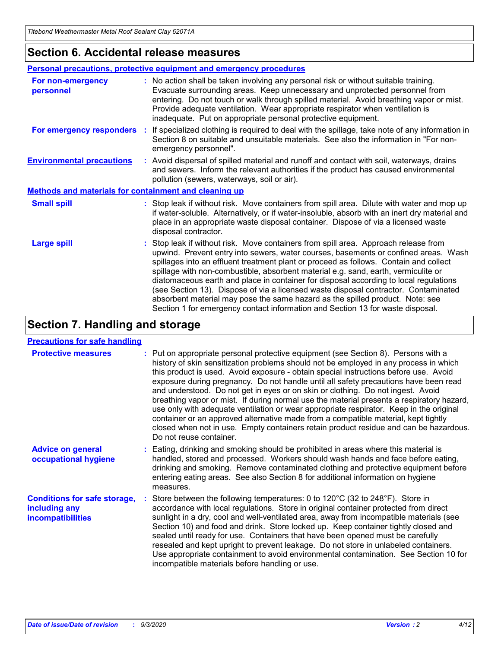### **Section 6. Accidental release measures**

|                                                              | <b>Personal precautions, protective equipment and emergency procedures</b>                                                                                                                                                                                                                                                                                                                                                                                                                                                                                                                                                                                                                                   |  |  |  |
|--------------------------------------------------------------|--------------------------------------------------------------------------------------------------------------------------------------------------------------------------------------------------------------------------------------------------------------------------------------------------------------------------------------------------------------------------------------------------------------------------------------------------------------------------------------------------------------------------------------------------------------------------------------------------------------------------------------------------------------------------------------------------------------|--|--|--|
| For non-emergency<br>personnel                               | : No action shall be taken involving any personal risk or without suitable training.<br>Evacuate surrounding areas. Keep unnecessary and unprotected personnel from<br>entering. Do not touch or walk through spilled material. Avoid breathing vapor or mist.<br>Provide adequate ventilation. Wear appropriate respirator when ventilation is<br>inadequate. Put on appropriate personal protective equipment.                                                                                                                                                                                                                                                                                             |  |  |  |
| For emergency responders                                     | : If specialized clothing is required to deal with the spillage, take note of any information in<br>Section 8 on suitable and unsuitable materials. See also the information in "For non-<br>emergency personnel".                                                                                                                                                                                                                                                                                                                                                                                                                                                                                           |  |  |  |
| <b>Environmental precautions</b>                             | : Avoid dispersal of spilled material and runoff and contact with soil, waterways, drains<br>and sewers. Inform the relevant authorities if the product has caused environmental<br>pollution (sewers, waterways, soil or air).                                                                                                                                                                                                                                                                                                                                                                                                                                                                              |  |  |  |
| <b>Methods and materials for containment and cleaning up</b> |                                                                                                                                                                                                                                                                                                                                                                                                                                                                                                                                                                                                                                                                                                              |  |  |  |
| <b>Small spill</b>                                           | : Stop leak if without risk. Move containers from spill area. Dilute with water and mop up<br>if water-soluble. Alternatively, or if water-insoluble, absorb with an inert dry material and<br>place in an appropriate waste disposal container. Dispose of via a licensed waste<br>disposal contractor.                                                                                                                                                                                                                                                                                                                                                                                                     |  |  |  |
| <b>Large spill</b>                                           | : Stop leak if without risk. Move containers from spill area. Approach release from<br>upwind. Prevent entry into sewers, water courses, basements or confined areas. Wash<br>spillages into an effluent treatment plant or proceed as follows. Contain and collect<br>spillage with non-combustible, absorbent material e.g. sand, earth, vermiculite or<br>diatomaceous earth and place in container for disposal according to local regulations<br>(see Section 13). Dispose of via a licensed waste disposal contractor. Contaminated<br>absorbent material may pose the same hazard as the spilled product. Note: see<br>Section 1 for emergency contact information and Section 13 for waste disposal. |  |  |  |

### **Section 7. Handling and storage**

#### **Precautions for safe handling**

| <b>Protective measures</b>                                                       | : Put on appropriate personal protective equipment (see Section 8). Persons with a<br>history of skin sensitization problems should not be employed in any process in which<br>this product is used. Avoid exposure - obtain special instructions before use. Avoid<br>exposure during pregnancy. Do not handle until all safety precautions have been read<br>and understood. Do not get in eyes or on skin or clothing. Do not ingest. Avoid<br>breathing vapor or mist. If during normal use the material presents a respiratory hazard,<br>use only with adequate ventilation or wear appropriate respirator. Keep in the original<br>container or an approved alternative made from a compatible material, kept tightly<br>closed when not in use. Empty containers retain product residue and can be hazardous.<br>Do not reuse container. |
|----------------------------------------------------------------------------------|--------------------------------------------------------------------------------------------------------------------------------------------------------------------------------------------------------------------------------------------------------------------------------------------------------------------------------------------------------------------------------------------------------------------------------------------------------------------------------------------------------------------------------------------------------------------------------------------------------------------------------------------------------------------------------------------------------------------------------------------------------------------------------------------------------------------------------------------------|
| <b>Advice on general</b><br>occupational hygiene                                 | : Eating, drinking and smoking should be prohibited in areas where this material is<br>handled, stored and processed. Workers should wash hands and face before eating,<br>drinking and smoking. Remove contaminated clothing and protective equipment before<br>entering eating areas. See also Section 8 for additional information on hygiene<br>measures.                                                                                                                                                                                                                                                                                                                                                                                                                                                                                    |
| <b>Conditions for safe storage,</b><br>including any<br><i>incompatibilities</i> | Store between the following temperatures: 0 to 120°C (32 to 248°F). Store in<br>accordance with local regulations. Store in original container protected from direct<br>sunlight in a dry, cool and well-ventilated area, away from incompatible materials (see<br>Section 10) and food and drink. Store locked up. Keep container tightly closed and<br>sealed until ready for use. Containers that have been opened must be carefully<br>resealed and kept upright to prevent leakage. Do not store in unlabeled containers.<br>Use appropriate containment to avoid environmental contamination. See Section 10 for<br>incompatible materials before handling or use.                                                                                                                                                                         |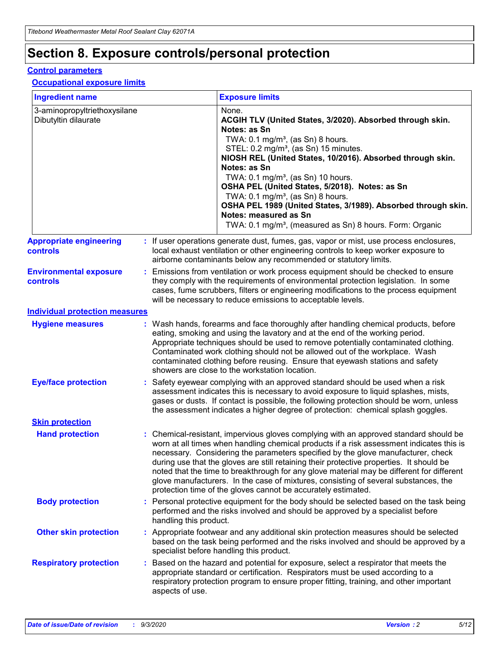# **Section 8. Exposure controls/personal protection**

#### **Control parameters**

#### **Occupational exposure limits**

| <b>Ingredient name</b>                               |    |                        | <b>Exposure limits</b>                                                                                                                                                                                                                                                                                                                                                                                                                                                                                                                                                                                                 |
|------------------------------------------------------|----|------------------------|------------------------------------------------------------------------------------------------------------------------------------------------------------------------------------------------------------------------------------------------------------------------------------------------------------------------------------------------------------------------------------------------------------------------------------------------------------------------------------------------------------------------------------------------------------------------------------------------------------------------|
| 3-aminopropyltriethoxysilane<br>Dibutyltin dilaurate |    |                        | None.<br>ACGIH TLV (United States, 3/2020). Absorbed through skin.<br>Notes: as Sn<br>TWA: $0.1 \text{ mg/m}^3$ , (as Sn) 8 hours.<br>STEL: 0.2 mg/m <sup>3</sup> , (as Sn) 15 minutes.<br>NIOSH REL (United States, 10/2016). Absorbed through skin.<br>Notes: as Sn<br>TWA: 0.1 mg/m <sup>3</sup> , (as Sn) 10 hours.<br>OSHA PEL (United States, 5/2018). Notes: as Sn<br>TWA: $0.1 \text{ mg/m}^3$ , (as Sn) 8 hours.<br>OSHA PEL 1989 (United States, 3/1989). Absorbed through skin.<br>Notes: measured as Sn<br>TWA: 0.1 mg/m <sup>3</sup> , (measured as Sn) 8 hours. Form: Organic                            |
| <b>Appropriate engineering</b><br>controls           |    |                        | : If user operations generate dust, fumes, gas, vapor or mist, use process enclosures,<br>local exhaust ventilation or other engineering controls to keep worker exposure to<br>airborne contaminants below any recommended or statutory limits.                                                                                                                                                                                                                                                                                                                                                                       |
| <b>Environmental exposure</b><br>controls            |    |                        | Emissions from ventilation or work process equipment should be checked to ensure<br>they comply with the requirements of environmental protection legislation. In some<br>cases, fume scrubbers, filters or engineering modifications to the process equipment<br>will be necessary to reduce emissions to acceptable levels.                                                                                                                                                                                                                                                                                          |
| <b>Individual protection measures</b>                |    |                        |                                                                                                                                                                                                                                                                                                                                                                                                                                                                                                                                                                                                                        |
| <b>Hygiene measures</b>                              |    |                        | : Wash hands, forearms and face thoroughly after handling chemical products, before<br>eating, smoking and using the lavatory and at the end of the working period.<br>Appropriate techniques should be used to remove potentially contaminated clothing.<br>Contaminated work clothing should not be allowed out of the workplace. Wash<br>contaminated clothing before reusing. Ensure that eyewash stations and safety<br>showers are close to the workstation location.                                                                                                                                            |
| <b>Eye/face protection</b>                           |    |                        | : Safety eyewear complying with an approved standard should be used when a risk<br>assessment indicates this is necessary to avoid exposure to liquid splashes, mists,<br>gases or dusts. If contact is possible, the following protection should be worn, unless<br>the assessment indicates a higher degree of protection: chemical splash goggles.                                                                                                                                                                                                                                                                  |
| <b>Skin protection</b>                               |    |                        |                                                                                                                                                                                                                                                                                                                                                                                                                                                                                                                                                                                                                        |
| <b>Hand protection</b>                               |    |                        | : Chemical-resistant, impervious gloves complying with an approved standard should be<br>worn at all times when handling chemical products if a risk assessment indicates this is<br>necessary. Considering the parameters specified by the glove manufacturer, check<br>during use that the gloves are still retaining their protective properties. It should be<br>noted that the time to breakthrough for any glove material may be different for different<br>glove manufacturers. In the case of mixtures, consisting of several substances, the<br>protection time of the gloves cannot be accurately estimated. |
| <b>Body protection</b>                               |    | handling this product. | Personal protective equipment for the body should be selected based on the task being<br>performed and the risks involved and should be approved by a specialist before                                                                                                                                                                                                                                                                                                                                                                                                                                                |
| <b>Other skin protection</b>                         |    |                        | : Appropriate footwear and any additional skin protection measures should be selected<br>based on the task being performed and the risks involved and should be approved by a<br>specialist before handling this product.                                                                                                                                                                                                                                                                                                                                                                                              |
| <b>Respiratory protection</b>                        | ÷. | aspects of use.        | Based on the hazard and potential for exposure, select a respirator that meets the<br>appropriate standard or certification. Respirators must be used according to a<br>respiratory protection program to ensure proper fitting, training, and other important                                                                                                                                                                                                                                                                                                                                                         |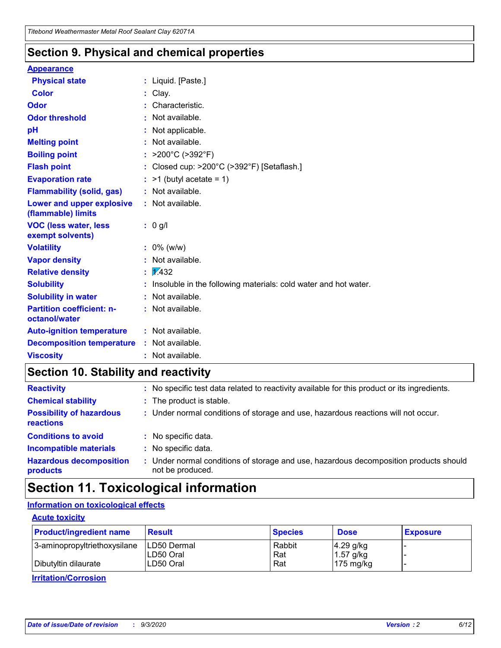### **Section 9. Physical and chemical properties**

#### **Appearance**

| <b>Physical state</b>                             | : Liquid. [Paste.]                                              |
|---------------------------------------------------|-----------------------------------------------------------------|
| <b>Color</b>                                      | Clay.                                                           |
| Odor                                              | Characteristic.                                                 |
| <b>Odor threshold</b>                             | Not available.                                                  |
| рH                                                | Not applicable.                                                 |
| <b>Melting point</b>                              | : Not available.                                                |
| <b>Boiling point</b>                              | >200°C (>392°F)                                                 |
| <b>Flash point</b>                                | Closed cup: >200°C (>392°F) [Setaflash.]                        |
| <b>Evaporation rate</b>                           | $:$ >1 (butyl acetate = 1)                                      |
| <b>Flammability (solid, gas)</b>                  | : Not available.                                                |
| Lower and upper explosive<br>(flammable) limits   | : Not available.                                                |
| <b>VOC (less water, less)</b><br>exempt solvents) | : 0 g/l                                                         |
| <b>Volatility</b>                                 | $: 0\%$ (w/w)                                                   |
| <b>Vapor density</b>                              | Not available.                                                  |
| <b>Relative density</b>                           | $\mathbf{1}$ $\mathbf{\sqrt{432}}$                              |
| <b>Solubility</b>                                 | Insoluble in the following materials: cold water and hot water. |
| <b>Solubility in water</b>                        | Not available.                                                  |
| <b>Partition coefficient: n-</b><br>octanol/water | $:$ Not available.                                              |
| <b>Auto-ignition temperature</b>                  | : Not available.                                                |
| <b>Decomposition temperature</b>                  | : Not available.                                                |
| <b>Viscosity</b>                                  | $:$ Not available.                                              |

### **Section 10. Stability and reactivity**

| <b>Reactivity</b>                            |    | : No specific test data related to reactivity available for this product or its ingredients.            |
|----------------------------------------------|----|---------------------------------------------------------------------------------------------------------|
| <b>Chemical stability</b>                    |    | : The product is stable.                                                                                |
| <b>Possibility of hazardous</b><br>reactions |    | : Under normal conditions of storage and use, hazardous reactions will not occur.                       |
| <b>Conditions to avoid</b>                   |    | : No specific data.                                                                                     |
| <b>Incompatible materials</b>                |    | : No specific data.                                                                                     |
| <b>Hazardous decomposition</b><br>products   | ÷. | Under normal conditions of storage and use, hazardous decomposition products should<br>not be produced. |

## **Section 11. Toxicological information**

#### **Information on toxicological effects**

#### **Acute toxicity**

| <b>Product/ingredient name</b> | <b>Result</b>           | <b>Species</b> | <b>Dose</b>                | <b>Exposure</b> |
|--------------------------------|-------------------------|----------------|----------------------------|-----------------|
| 3-aminopropyltriethoxysilane   | <b>ILD50 Dermal</b>     | Rabbit         | 4.29 g/kg                  |                 |
| Dibutyltin dilaurate           | ILD50 Oral<br>LD50 Oral | Rat<br>Rat     | $1.57$ g/kg<br>175 $mg/kg$ |                 |
|                                |                         |                |                            |                 |

**Irritation/Corrosion**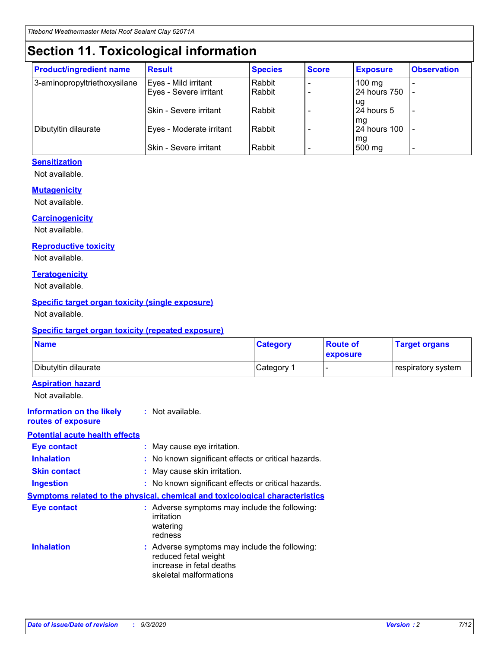# **Section 11. Toxicological information**

| <b>Product/ingredient name</b> | <b>Result</b>                 | <b>Species</b> | <b>Score</b> | <b>Exposure</b>    | <b>Observation</b> |
|--------------------------------|-------------------------------|----------------|--------------|--------------------|--------------------|
| 3-aminopropyltriethoxysilane   | Eyes - Mild irritant          | Rabbit         |              | $100 \text{ mg}$   |                    |
|                                | Eyes - Severe irritant        | Rabbit         |              | 24 hours 750       |                    |
|                                |                               |                |              | ug                 |                    |
|                                | <b>Skin - Severe irritant</b> | Rabbit         |              | 24 hours 5         | -                  |
| Dibutyltin dilaurate           | Eyes - Moderate irritant      | Rabbit         |              | mq<br>24 hours 100 |                    |
|                                |                               |                |              | mg                 |                    |
|                                | Skin - Severe irritant        | Rabbit         |              | 500 mg             |                    |

#### **Sensitization**

Not available.

#### **Mutagenicity**

Not available.

#### **Carcinogenicity**

Not available.

#### **Reproductive toxicity**

Not available.

#### **Teratogenicity**

Not available.

#### **Specific target organ toxicity (single exposure)**

Not available.

#### **Specific target organ toxicity (repeated exposure)**

| <b>Name</b>                                                                         |                                                                            | <b>Category</b>                                     | <b>Route of</b><br>exposure | <b>Target organs</b> |  |  |
|-------------------------------------------------------------------------------------|----------------------------------------------------------------------------|-----------------------------------------------------|-----------------------------|----------------------|--|--|
| Dibutyltin dilaurate                                                                |                                                                            | Category 1                                          | -                           | respiratory system   |  |  |
| <b>Aspiration hazard</b><br>Not available.                                          |                                                                            |                                                     |                             |                      |  |  |
| <b>Information on the likely</b><br>routes of exposure                              | : Not available.                                                           |                                                     |                             |                      |  |  |
| <b>Potential acute health effects</b>                                               |                                                                            |                                                     |                             |                      |  |  |
| <b>Eye contact</b>                                                                  | : May cause eye irritation.                                                |                                                     |                             |                      |  |  |
| <b>Inhalation</b>                                                                   |                                                                            | : No known significant effects or critical hazards. |                             |                      |  |  |
| <b>Skin contact</b>                                                                 |                                                                            | : May cause skin irritation.                        |                             |                      |  |  |
| <b>Ingestion</b>                                                                    |                                                                            | : No known significant effects or critical hazards. |                             |                      |  |  |
| <b>Symptoms related to the physical, chemical and toxicological characteristics</b> |                                                                            |                                                     |                             |                      |  |  |
| <b>Eye contact</b>                                                                  | irritation<br>watering<br>redness                                          | : Adverse symptoms may include the following:       |                             |                      |  |  |
| <b>Inhalation</b>                                                                   | reduced fetal weight<br>increase in fetal deaths<br>skeletal malformations | : Adverse symptoms may include the following:       |                             |                      |  |  |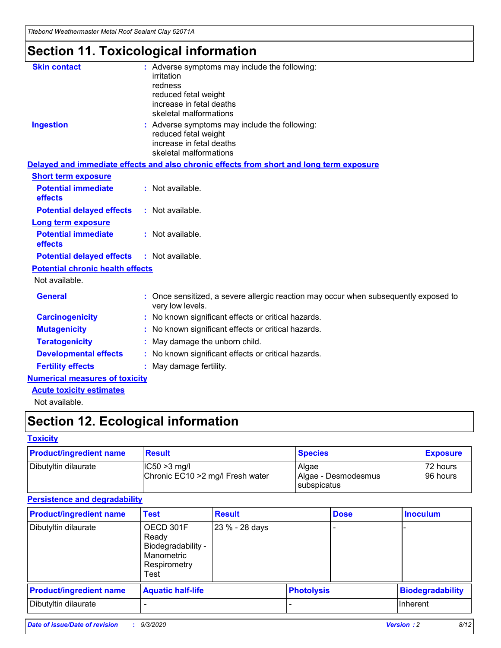*Titebond Weathermaster Metal Roof Sealant Clay 62071A*

# **Section 11. Toxicological information**

| <b>Skin contact</b>                     | irritation<br>redness<br>reduced fetal weight<br>increase in fetal deaths<br>skeletal malformations                         | : Adverse symptoms may include the following:                                            |  |  |  |
|-----------------------------------------|-----------------------------------------------------------------------------------------------------------------------------|------------------------------------------------------------------------------------------|--|--|--|
| <b>Ingestion</b>                        | : Adverse symptoms may include the following:<br>reduced fetal weight<br>increase in fetal deaths<br>skeletal malformations |                                                                                          |  |  |  |
|                                         |                                                                                                                             | Delayed and immediate effects and also chronic effects from short and long term exposure |  |  |  |
| <b>Short term exposure</b>              |                                                                                                                             |                                                                                          |  |  |  |
| <b>Potential immediate</b><br>effects   | : Not available.                                                                                                            |                                                                                          |  |  |  |
| <b>Potential delayed effects</b>        | : Not available.                                                                                                            |                                                                                          |  |  |  |
| <b>Long term exposure</b>               |                                                                                                                             |                                                                                          |  |  |  |
| <b>Potential immediate</b><br>effects   | : Not available.                                                                                                            |                                                                                          |  |  |  |
| <b>Potential delayed effects</b>        | : Not available.                                                                                                            |                                                                                          |  |  |  |
| <b>Potential chronic health effects</b> |                                                                                                                             |                                                                                          |  |  |  |
| Not available.                          |                                                                                                                             |                                                                                          |  |  |  |
| <b>General</b>                          | very low levels.                                                                                                            | : Once sensitized, a severe allergic reaction may occur when subsequently exposed to     |  |  |  |
| <b>Carcinogenicity</b>                  |                                                                                                                             | : No known significant effects or critical hazards.                                      |  |  |  |
| <b>Mutagenicity</b>                     |                                                                                                                             | No known significant effects or critical hazards.                                        |  |  |  |
| <b>Teratogenicity</b>                   |                                                                                                                             | May damage the unborn child.                                                             |  |  |  |
| <b>Developmental effects</b>            |                                                                                                                             | : No known significant effects or critical hazards.                                      |  |  |  |
| <b>Fertility effects</b>                | May damage fertility.                                                                                                       |                                                                                          |  |  |  |
| <b>Numerical measures of toxicity</b>   |                                                                                                                             |                                                                                          |  |  |  |
| <b>Acute toxicity estimates</b>         |                                                                                                                             |                                                                                          |  |  |  |
| Not available.                          |                                                                                                                             |                                                                                          |  |  |  |

# **Section 12. Ecological information**

#### **Toxicity**

| <b>Product/ingredient name</b>                                              | <b>Result</b> | <b>Species</b>               | <b>Exposure</b>       |
|-----------------------------------------------------------------------------|---------------|------------------------------|-----------------------|
| Dibutyltin dilaurate<br>$ IC50>3$ mg/l<br>Chronic EC10 > 2 mg/l Fresh water |               | Algae<br>Algae - Desmodesmus | 72 hours<br>196 hours |
|                                                                             |               | subspicatus                  |                       |

#### **Persistence and degradability**

| <b>Product/ingredient name</b> | <b>Test</b>                                                                    | <b>Result</b>  |  | <b>Dose</b>       | <b>Inoculum</b>         |
|--------------------------------|--------------------------------------------------------------------------------|----------------|--|-------------------|-------------------------|
| Dibutyltin dilaurate           | OECD 301F<br>Ready<br>Biodegradability -<br>Manometric<br>Respirometry<br>Test | 23 % - 28 days |  |                   |                         |
| <b>Product/ingredient name</b> | <b>Aquatic half-life</b>                                                       |                |  | <b>Photolysis</b> | <b>Biodegradability</b> |
| Dibutyltin dilaurate           |                                                                                |                |  |                   | <b>Inherent</b>         |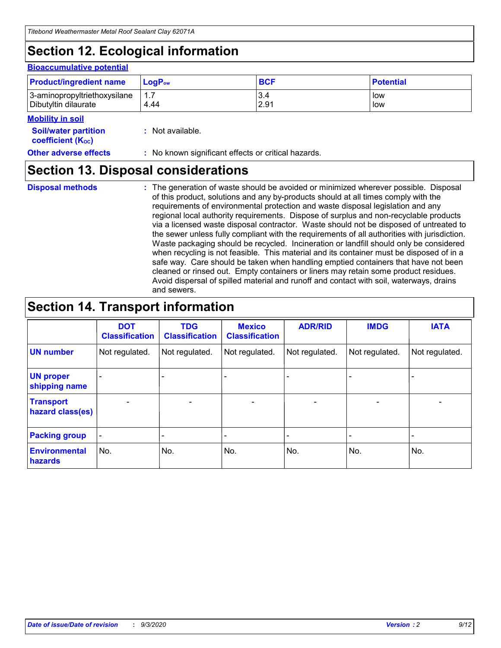# **Section 12. Ecological information**

#### **Bioaccumulative potential**

| <b>Product/ingredient name</b> | $LoaPow$ | <b>BCF</b> | <b>Potential</b> |
|--------------------------------|----------|------------|------------------|
| 3-aminopropyltriethoxysilane   | 1.7      | 3.4        | low              |
| Dibutyltin dilaurate           | 4.44     | 2.91       | low              |

#### **Mobility in soil**

| <b>Soil/water partition</b> | : Not available. |
|-----------------------------|------------------|
| <b>coefficient (Koc)</b>    |                  |

#### **Other adverse effects** : No known significant effects or critical hazards.

### **Section 13. Disposal considerations**

**Disposal methods :**

The generation of waste should be avoided or minimized wherever possible. Disposal of this product, solutions and any by-products should at all times comply with the requirements of environmental protection and waste disposal legislation and any regional local authority requirements. Dispose of surplus and non-recyclable products via a licensed waste disposal contractor. Waste should not be disposed of untreated to the sewer unless fully compliant with the requirements of all authorities with jurisdiction. Waste packaging should be recycled. Incineration or landfill should only be considered when recycling is not feasible. This material and its container must be disposed of in a safe way. Care should be taken when handling emptied containers that have not been cleaned or rinsed out. Empty containers or liners may retain some product residues. Avoid dispersal of spilled material and runoff and contact with soil, waterways, drains and sewers.

### **Section 14. Transport information**

|                                      | <b>DOT</b><br><b>Classification</b> | <b>TDG</b><br><b>Classification</b> | <b>Mexico</b><br><b>Classification</b> | <b>ADR/RID</b>           | <b>IMDG</b>              | <b>IATA</b>    |
|--------------------------------------|-------------------------------------|-------------------------------------|----------------------------------------|--------------------------|--------------------------|----------------|
| <b>UN number</b>                     | Not regulated.                      | Not regulated.                      | Not regulated.                         | Not regulated.           | Not regulated.           | Not regulated. |
| <b>UN proper</b><br>shipping name    |                                     |                                     |                                        |                          |                          |                |
| <b>Transport</b><br>hazard class(es) |                                     | $\overline{\phantom{0}}$            | $\qquad \qquad \blacksquare$           | $\overline{\phantom{0}}$ | $\overline{\phantom{0}}$ |                |
| <b>Packing group</b>                 |                                     |                                     |                                        |                          |                          |                |
| <b>Environmental</b><br>hazards      | No.                                 | No.                                 | No.                                    | No.                      | No.                      | No.            |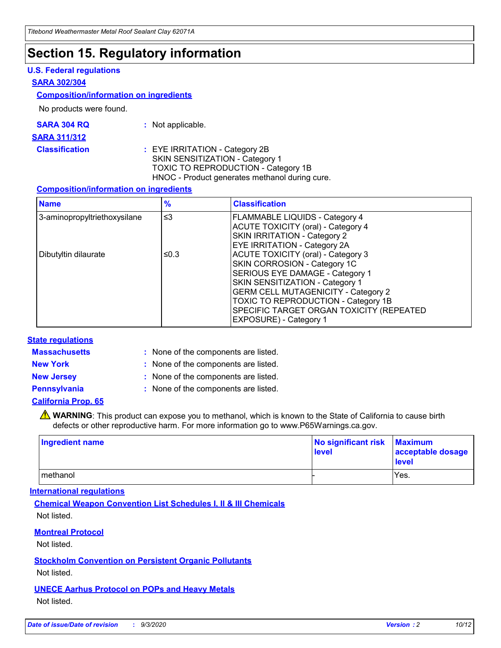### **Section 15. Regulatory information**

#### **U.S. Federal regulations**

#### **SARA 302/304**

#### **Composition/information on ingredients**

No products were found.

| SARA 304 RQ | Not applicable. |
|-------------|-----------------|
|             |                 |

#### **SARA 311/312**

#### **Classification :** EYE IRRITATION - Category 2B SKIN SENSITIZATION - Category 1 TOXIC TO REPRODUCTION - Category 1B HNOC - Product generates methanol during cure.

#### **Composition/information on ingredients**

| <b>Name</b>                  | $\frac{9}{6}$ | <b>Classification</b>                                                                                                                                                                                                                                                                                      |
|------------------------------|---------------|------------------------------------------------------------------------------------------------------------------------------------------------------------------------------------------------------------------------------------------------------------------------------------------------------------|
| 3-aminopropyltriethoxysilane | $\leq$ 3      | <b>FLAMMABLE LIQUIDS - Category 4</b><br><b>ACUTE TOXICITY (oral) - Category 4</b><br><b>SKIN IRRITATION - Category 2</b><br>EYE IRRITATION - Category 2A                                                                                                                                                  |
| Dibutyltin dilaurate         | ≤0.3          | <b>ACUTE TOXICITY (oral) - Category 3</b><br>SKIN CORROSION - Category 1C<br>SERIOUS EYE DAMAGE - Category 1<br>SKIN SENSITIZATION - Category 1<br><b>GERM CELL MUTAGENICITY - Category 2</b><br>TOXIC TO REPRODUCTION - Category 1B<br>SPECIFIC TARGET ORGAN TOXICITY (REPEATED<br>EXPOSURE) - Category 1 |

#### **State regulations**

**Massachusetts :**

: None of the components are listed.

**New York :** None of the components are listed.

**New Jersey :** None of the components are listed.

**Pennsylvania :** None of the components are listed.

#### **California Prop. 65**

WARNING: This product can expose you to methanol, which is known to the State of California to cause birth defects or other reproductive harm. For more information go to www.P65Warnings.ca.gov.

| Ingredient name | No significant risk Maximum<br>level | acceptable dosage<br><b>level</b> |
|-----------------|--------------------------------------|-----------------------------------|
| I methanol      |                                      | Yes.                              |

#### **International regulations**

**Chemical Weapon Convention List Schedules I, II & III Chemicals** Not listed.

#### **Montreal Protocol**

Not listed.

**Stockholm Convention on Persistent Organic Pollutants**

Not listed.

#### **UNECE Aarhus Protocol on POPs and Heavy Metals** Not listed.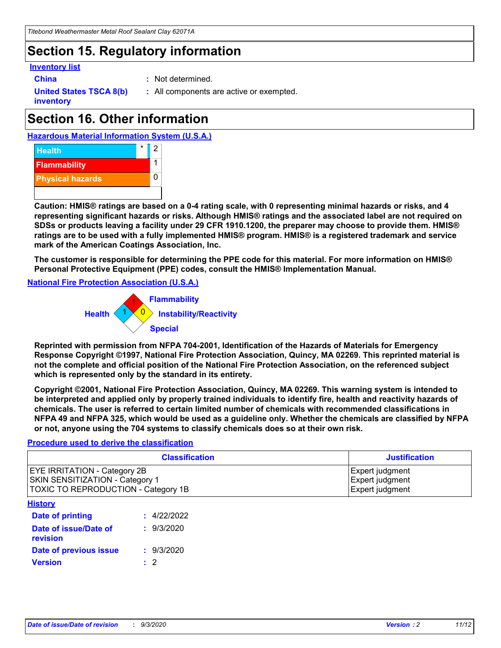### **Section 15. Regulatory information**

#### **Inventory list**

- 
- **China :** Not determined.

**United States TSCA 8(b) inventory**

**:** All components are active or exempted.

# **Section 16. Other information**





**Caution: HMIS® ratings are based on a 0-4 rating scale, with 0 representing minimal hazards or risks, and 4 representing significant hazards or risks. Although HMIS® ratings and the associated label are not required on SDSs or products leaving a facility under 29 CFR 1910.1200, the preparer may choose to provide them. HMIS® ratings are to be used with a fully implemented HMIS® program. HMIS® is a registered trademark and service mark of the American Coatings Association, Inc.**

**The customer is responsible for determining the PPE code for this material. For more information on HMIS® Personal Protective Equipment (PPE) codes, consult the HMIS® Implementation Manual.**

**National Fire Protection Association (U.S.A.)**



**Reprinted with permission from NFPA 704-2001, Identification of the Hazards of Materials for Emergency Response Copyright ©1997, National Fire Protection Association, Quincy, MA 02269. This reprinted material is not the complete and official position of the National Fire Protection Association, on the referenced subject which is represented only by the standard in its entirety.**

**Copyright ©2001, National Fire Protection Association, Quincy, MA 02269. This warning system is intended to be interpreted and applied only by properly trained individuals to identify fire, health and reactivity hazards of chemicals. The user is referred to certain limited number of chemicals with recommended classifications in NFPA 49 and NFPA 325, which would be used as a guideline only. Whether the chemicals are classified by NFPA or not, anyone using the 704 systems to classify chemicals does so at their own risk.**

#### **Procedure used to derive the classification**

| <b>Classification</b>                                                                                         | <b>Justification</b>                                  |
|---------------------------------------------------------------------------------------------------------------|-------------------------------------------------------|
| <b>EYE IRRITATION - Category 2B</b><br>SKIN SENSITIZATION - Category 1<br>TOXIC TO REPRODUCTION - Category 1B | Expert judgment<br>Expert judgment<br>Expert judgment |
| <b>History</b>                                                                                                |                                                       |

| .                                 |             |
|-----------------------------------|-------------|
| <b>Date of printing</b>           | : 4/22/2022 |
| Date of issue/Date of<br>revision | : 9/3/2020  |
| Date of previous issue            | : 9/3/2020  |
| <b>Version</b>                    | $\cdot$ 2   |
|                                   |             |